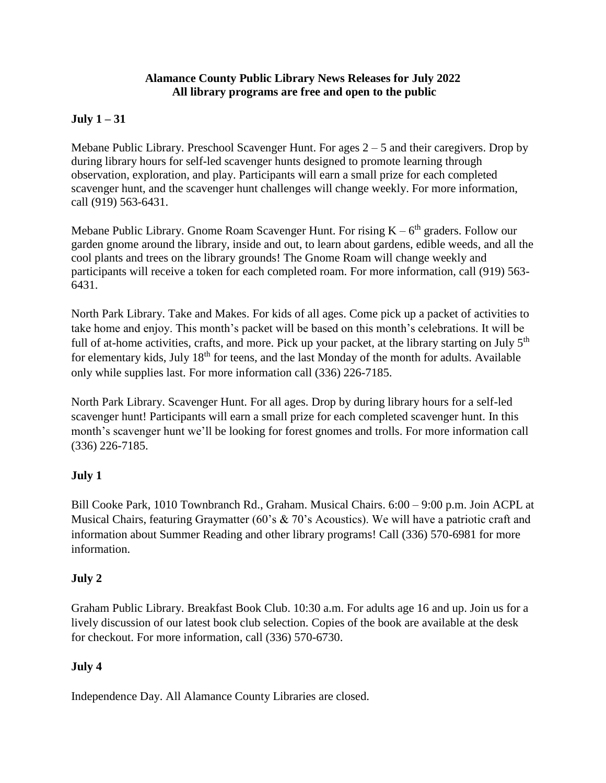#### **Alamance County Public Library News Releases for July 2022 All library programs are free and open to the public**

## **July 1 – 31**

Mebane Public Library. Preschool Scavenger Hunt. For ages 2 – 5 and their caregivers. Drop by during library hours for self-led scavenger hunts designed to promote learning through observation, exploration, and play. Participants will earn a small prize for each completed scavenger hunt, and the scavenger hunt challenges will change weekly. For more information, call (919) 563-6431.

Mebane Public Library. Gnome Roam Scavenger Hunt. For rising  $K - 6<sup>th</sup>$  graders. Follow our garden gnome around the library, inside and out, to learn about gardens, edible weeds, and all the cool plants and trees on the library grounds! The Gnome Roam will change weekly and participants will receive a token for each completed roam. For more information, call (919) 563- 6431.

North Park Library. Take and Makes. For kids of all ages. Come pick up a packet of activities to take home and enjoy. This month's packet will be based on this month's celebrations. It will be full of at-home activities, crafts, and more. Pick up your packet, at the library starting on July  $5<sup>th</sup>$ for elementary kids, July 18<sup>th</sup> for teens, and the last Monday of the month for adults. Available only while supplies last. For more information call (336) 226-7185.

North Park Library. Scavenger Hunt. For all ages. Drop by during library hours for a self-led scavenger hunt! Participants will earn a small prize for each completed scavenger hunt. In this month's scavenger hunt we'll be looking for forest gnomes and trolls. For more information call (336) 226-7185.

## **July 1**

Bill Cooke Park, 1010 Townbranch Rd., Graham. Musical Chairs. 6:00 – 9:00 p.m. Join ACPL at Musical Chairs, featuring Graymatter (60's & 70's Acoustics). We will have a patriotic craft and information about Summer Reading and other library programs! Call (336) 570-6981 for more information.

## **July 2**

Graham Public Library. Breakfast Book Club. 10:30 a.m. For adults age 16 and up. Join us for a lively discussion of our latest book club selection. Copies of the book are available at the desk for checkout. For more information, call (336) 570-6730.

## **July 4**

Independence Day. All Alamance County Libraries are closed.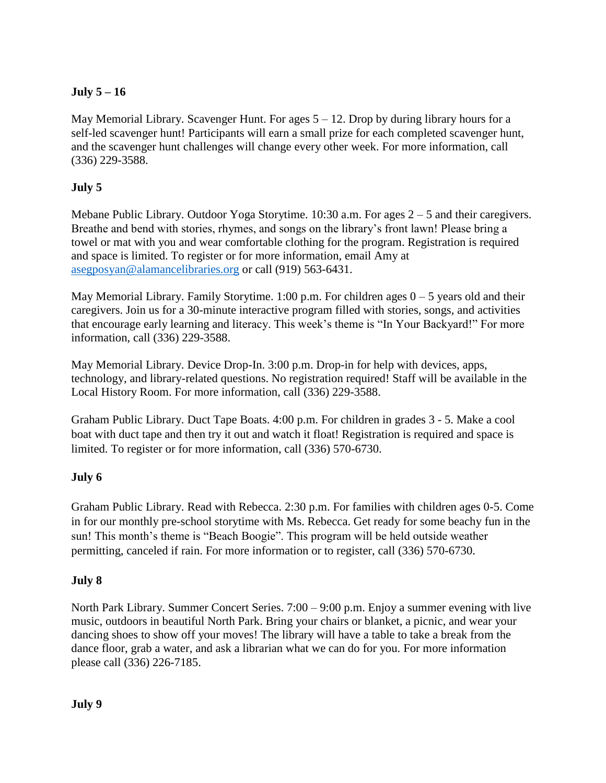# **July 5 – 16**

May Memorial Library. Scavenger Hunt. For ages  $5 - 12$ . Drop by during library hours for a self-led scavenger hunt! Participants will earn a small prize for each completed scavenger hunt, and the scavenger hunt challenges will change every other week. For more information, call (336) 229-3588.

# **July 5**

Mebane Public Library. Outdoor Yoga Storytime. 10:30 a.m. For ages 2 – 5 and their caregivers. Breathe and bend with stories, rhymes, and songs on the library's front lawn! Please bring a towel or mat with you and wear comfortable clothing for the program. Registration is required and space is limited. To register or for more information, email Amy at [asegposyan@alamancelibraries.org](mailto:asegposyan@alamancelibraries.org) or call (919) 563-6431.

May Memorial Library. Family Storytime. 1:00 p.m. For children ages  $0 - 5$  years old and their caregivers. Join us for a 30-minute interactive program filled with stories, songs, and activities that encourage early learning and literacy. This week's theme is "In Your Backyard!" For more information, call (336) 229-3588.

May Memorial Library. Device Drop-In. 3:00 p.m. Drop-in for help with devices, apps, technology, and library-related questions. No registration required! Staff will be available in the Local History Room. For more information, call (336) 229-3588.

Graham Public Library. Duct Tape Boats. 4:00 p.m. For children in grades 3 - 5. Make a cool boat with duct tape and then try it out and watch it float! Registration is required and space is limited. To register or for more information, call (336) 570-6730.

## **July 6**

Graham Public Library. Read with Rebecca. 2:30 p.m. For families with children ages 0-5. Come in for our monthly pre-school storytime with Ms. Rebecca. Get ready for some beachy fun in the sun! This month's theme is "Beach Boogie". This program will be held outside weather permitting, canceled if rain. For more information or to register, call (336) 570-6730.

## **July 8**

North Park Library. Summer Concert Series. 7:00 – 9:00 p.m. Enjoy a summer evening with live music, outdoors in beautiful North Park. Bring your chairs or blanket, a picnic, and wear your dancing shoes to show off your moves! The library will have a table to take a break from the dance floor, grab a water, and ask a librarian what we can do for you. For more information please call (336) 226-7185.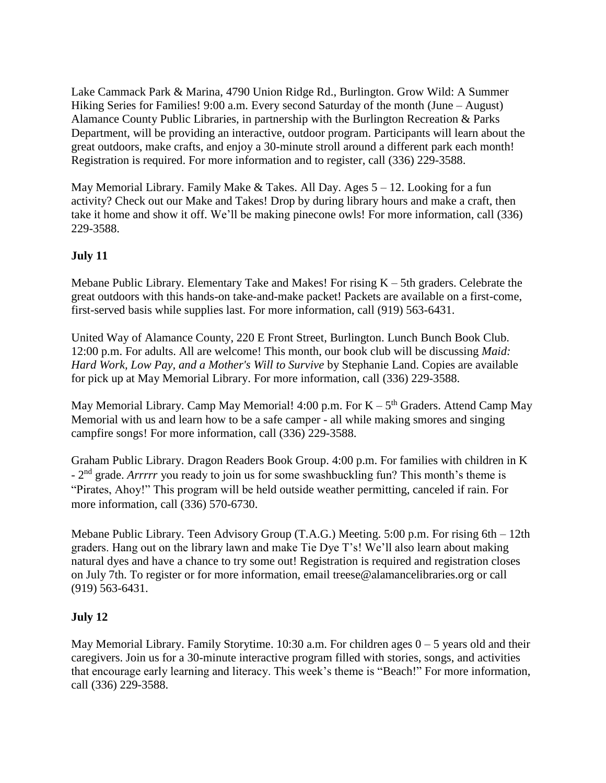Lake Cammack Park & Marina, 4790 Union Ridge Rd., Burlington. Grow Wild: A Summer Hiking Series for Families! 9:00 a.m. Every second Saturday of the month (June – August) Alamance County Public Libraries, in partnership with the Burlington Recreation & Parks Department, will be providing an interactive, outdoor program. Participants will learn about the great outdoors, make crafts, and enjoy a 30-minute stroll around a different park each month! Registration is required. For more information and to register, call (336) 229-3588.

May Memorial Library. Family Make & Takes. All Day. Ages 5 – 12. Looking for a fun activity? Check out our Make and Takes! Drop by during library hours and make a craft, then take it home and show it off. We'll be making pinecone owls! For more information, call (336) 229-3588.

### **July 11**

Mebane Public Library. Elementary Take and Makes! For rising  $K - 5$ th graders. Celebrate the great outdoors with this hands-on take-and-make packet! Packets are available on a first-come, first-served basis while supplies last. For more information, call (919) 563-6431.

United Way of Alamance County, 220 E Front Street, Burlington. Lunch Bunch Book Club. 12:00 p.m. For adults. All are welcome! This month, our book club will be discussing *Maid: Hard Work, Low Pay, and a Mother's Will to Survive* by Stephanie Land. Copies are available for pick up at May Memorial Library. For more information, call (336) 229-3588.

May Memorial Library. Camp May Memorial!  $4:00$  p.m. For  $K - 5<sup>th</sup>$  Graders. Attend Camp May Memorial with us and learn how to be a safe camper - all while making smores and singing campfire songs! For more information, call (336) 229-3588.

Graham Public Library. Dragon Readers Book Group. 4:00 p.m. For families with children in K - 2<sup>nd</sup> grade. *Arrrrr* you ready to join us for some swashbuckling fun? This month's theme is "Pirates, Ahoy!" This program will be held outside weather permitting, canceled if rain. For more information, call (336) 570-6730.

Mebane Public Library. Teen Advisory Group (T.A.G.) Meeting. 5:00 p.m. For rising 6th – 12th graders. Hang out on the library lawn and make Tie Dye T's! We'll also learn about making natural dyes and have a chance to try some out! Registration is required and registration closes on July 7th. To register or for more information, email treese@alamancelibraries.org or call (919) 563-6431.

#### **July 12**

May Memorial Library. Family Storytime.  $10:30$  a.m. For children ages  $0 - 5$  years old and their caregivers. Join us for a 30-minute interactive program filled with stories, songs, and activities that encourage early learning and literacy. This week's theme is "Beach!" For more information, call (336) 229-3588.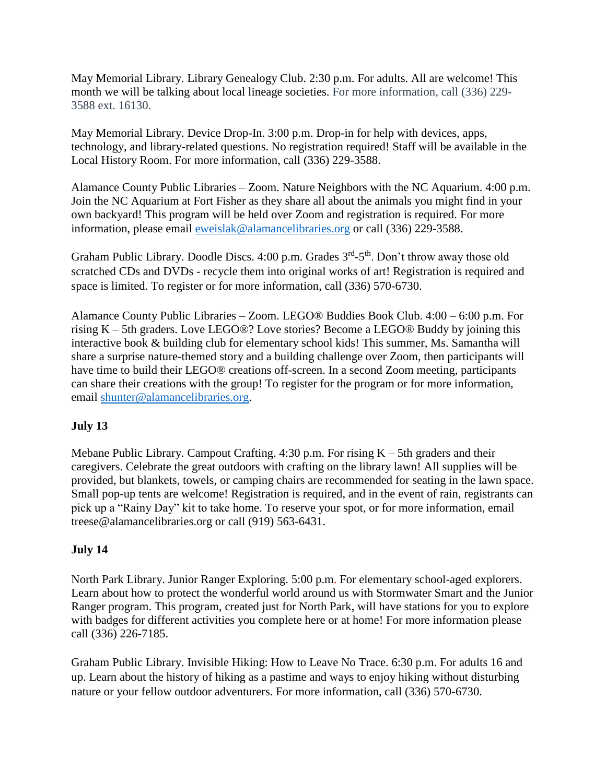May Memorial Library. Library Genealogy Club. 2:30 p.m. For adults. All are welcome! This month we will be talking about local lineage societies. For more information, call (336) 229- 3588 ext. 16130.

May Memorial Library. Device Drop-In. 3:00 p.m. Drop-in for help with devices, apps, technology, and library-related questions. No registration required! Staff will be available in the Local History Room. For more information, call (336) 229-3588.

Alamance County Public Libraries – Zoom. Nature Neighbors with the NC Aquarium. 4:00 p.m. Join the NC Aquarium at Fort Fisher as they share all about the animals you might find in your own backyard! This program will be held over Zoom and registration is required. For more information, please email [eweislak@alamancelibraries.org](mailto:eweislak@alamancelibraries.org) or call (336) 229-3588.

Graham Public Library. Doodle Discs. 4:00 p.m. Grades 3<sup>rd</sup>-5<sup>th</sup>. Don't throw away those old scratched CDs and DVDs - recycle them into original works of art! Registration is required and space is limited. To register or for more information, call (336) 570-6730.

Alamance County Public Libraries – Zoom. LEGO® Buddies Book Club. 4:00 – 6:00 p.m. For rising K – 5th graders. Love LEGO®? Love stories? Become a LEGO® Buddy by joining this interactive book & building club for elementary school kids! This summer, Ms. Samantha will share a surprise nature-themed story and a building challenge over Zoom, then participants will have time to build their LEGO® creations off-screen. In a second Zoom meeting, participants can share their creations with the group! To register for the program or for more information, email [shunter@alamancelibraries.org.](mailto:shunter@alamancelibraries.org)

## **July 13**

Mebane Public Library. Campout Crafting.  $4:30$  p.m. For rising  $K - 5$ th graders and their caregivers. Celebrate the great outdoors with crafting on the library lawn! All supplies will be provided, but blankets, towels, or camping chairs are recommended for seating in the lawn space. Small pop-up tents are welcome! Registration is required, and in the event of rain, registrants can pick up a "Rainy Day" kit to take home. To reserve your spot, or for more information, email treese@alamancelibraries.org or call (919) 563-6431.

#### **July 14**

North Park Library. Junior Ranger Exploring. 5:00 p.m. For elementary school-aged explorers. Learn about how to protect the wonderful world around us with Stormwater Smart and the Junior Ranger program. This program, created just for North Park, will have stations for you to explore with badges for different activities you complete here or at home! For more information please call (336) 226-7185.

Graham Public Library. Invisible Hiking: How to Leave No Trace. 6:30 p.m. For adults 16 and up. Learn about the history of hiking as a pastime and ways to enjoy hiking without disturbing nature or your fellow outdoor adventurers. For more information, call (336) 570-6730.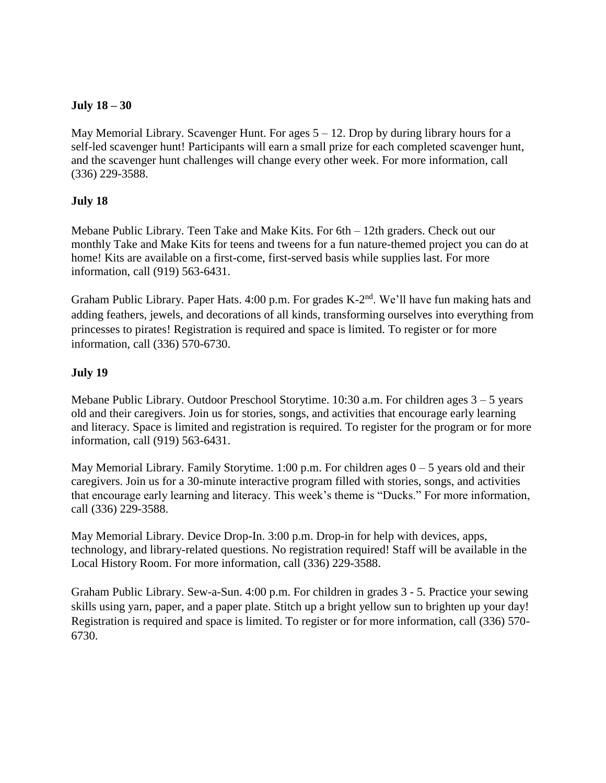#### **July 18 – 30**

May Memorial Library. Scavenger Hunt. For ages  $5 - 12$ . Drop by during library hours for a self-led scavenger hunt! Participants will earn a small prize for each completed scavenger hunt, and the scavenger hunt challenges will change every other week. For more information, call (336) 229-3588.

#### **July 18**

Mebane Public Library. Teen Take and Make Kits. For 6th – 12th graders. Check out our monthly Take and Make Kits for teens and tweens for a fun nature-themed project you can do at home! Kits are available on a first-come, first-served basis while supplies last. For more information, call (919) 563-6431.

Graham Public Library. Paper Hats. 4:00 p.m. For grades K-2<sup>nd</sup>. We'll have fun making hats and adding feathers, jewels, and decorations of all kinds, transforming ourselves into everything from princesses to pirates! Registration is required and space is limited. To register or for more information, call (336) 570-6730.

#### **July 19**

Mebane Public Library. Outdoor Preschool Storytime. 10:30 a.m. For children ages 3 – 5 years old and their caregivers. Join us for stories, songs, and activities that encourage early learning and literacy. Space is limited and registration is required. To register for the program or for more information, call (919) 563-6431.

May Memorial Library. Family Storytime. 1:00 p.m. For children ages  $0 - 5$  years old and their caregivers. Join us for a 30-minute interactive program filled with stories, songs, and activities that encourage early learning and literacy. This week's theme is "Ducks." For more information, call (336) 229-3588.

May Memorial Library. Device Drop-In. 3:00 p.m. Drop-in for help with devices, apps, technology, and library-related questions. No registration required! Staff will be available in the Local History Room. For more information, call (336) 229-3588.

Graham Public Library. Sew-a-Sun. 4:00 p.m. For children in grades 3 - 5. Practice your sewing skills using yarn, paper, and a paper plate. Stitch up a bright yellow sun to brighten up your day! Registration is required and space is limited. To register or for more information, call (336) 570- 6730.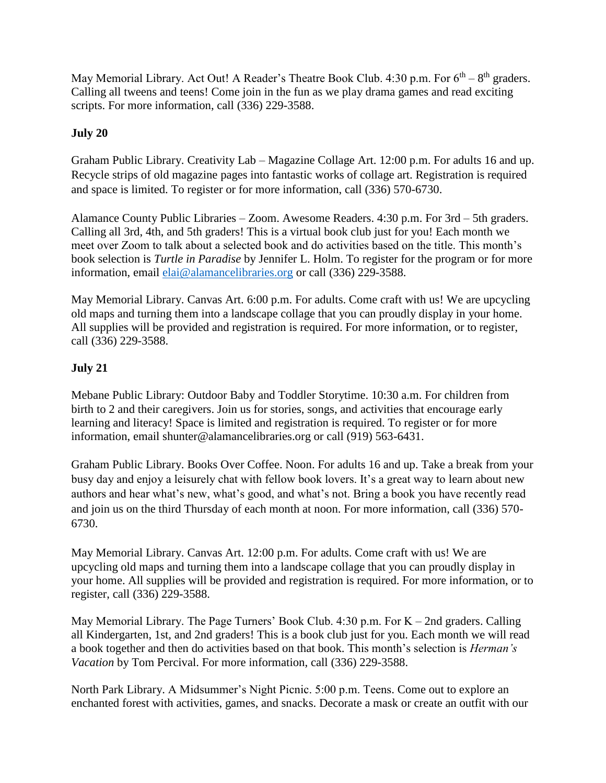May Memorial Library. Act Out! A Reader's Theatre Book Club.  $4:30$  p.m. For  $6<sup>th</sup> - 8<sup>th</sup>$  graders. Calling all tweens and teens! Come join in the fun as we play drama games and read exciting scripts. For more information, call (336) 229-3588.

## **July 20**

Graham Public Library. Creativity Lab – Magazine Collage Art. 12:00 p.m. For adults 16 and up. Recycle strips of old magazine pages into fantastic works of collage art. Registration is required and space is limited. To register or for more information, call (336) 570-6730.

Alamance County Public Libraries – Zoom. Awesome Readers. 4:30 p.m. For 3rd – 5th graders. Calling all 3rd, 4th, and 5th graders! This is a virtual book club just for you! Each month we meet over Zoom to talk about a selected book and do activities based on the title. This month's book selection is *Turtle in Paradise* by Jennifer L. Holm. To register for the program or for more information, email [elai@alamancelibraries.org](mailto:elai@alamancelibraries.org) or call (336) 229-3588.

May Memorial Library. Canvas Art. 6:00 p.m. For adults. Come craft with us! We are upcycling old maps and turning them into a landscape collage that you can proudly display in your home. All supplies will be provided and registration is required. For more information, or to register, call (336) 229-3588.

### **July 21**

Mebane Public Library: Outdoor Baby and Toddler Storytime. 10:30 a.m. For children from birth to 2 and their caregivers. Join us for stories, songs, and activities that encourage early learning and literacy! Space is limited and registration is required. To register or for more information, email shunter@alamancelibraries.org or call (919) 563-6431.

Graham Public Library. Books Over Coffee. Noon. For adults 16 and up. Take a break from your busy day and enjoy a leisurely chat with fellow book lovers. It's a great way to learn about new authors and hear what's new, what's good, and what's not. Bring a book you have recently read and join us on the third Thursday of each month at noon. For more information, call (336) 570- 6730.

May Memorial Library. Canvas Art. 12:00 p.m. For adults. Come craft with us! We are upcycling old maps and turning them into a landscape collage that you can proudly display in your home. All supplies will be provided and registration is required. For more information, or to register, call (336) 229-3588.

May Memorial Library. The Page Turners' Book Club.  $4:30$  p.m. For  $K - 2nd$  graders. Calling all Kindergarten, 1st, and 2nd graders! This is a book club just for you. Each month we will read a book together and then do activities based on that book. This month's selection is *Herman's Vacation* by Tom Percival. For more information, call (336) 229-3588.

North Park Library. A Midsummer's Night Picnic. 5:00 p.m. Teens. Come out to explore an enchanted forest with activities, games, and snacks. Decorate a mask or create an outfit with our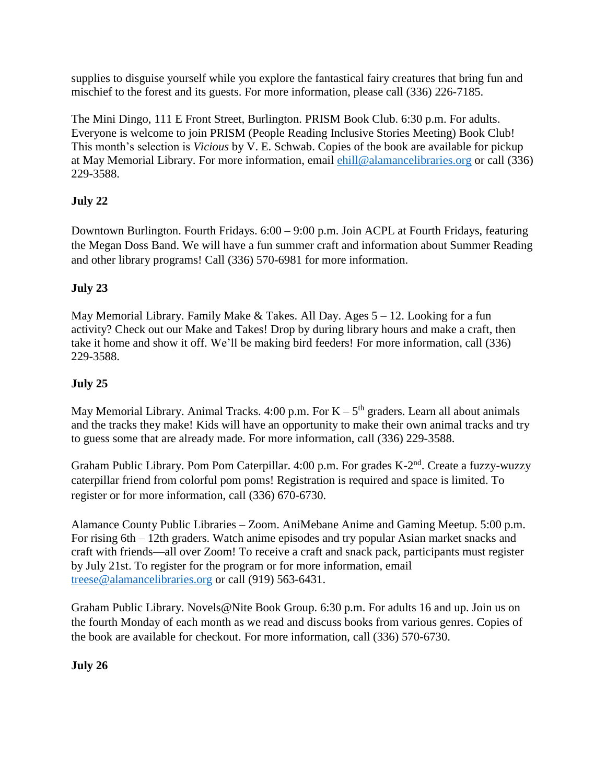supplies to disguise yourself while you explore the fantastical fairy creatures that bring fun and mischief to the forest and its guests. For more information, please call (336) 226-7185.

The Mini Dingo, 111 E Front Street, Burlington. PRISM Book Club. 6:30 p.m. For adults. Everyone is welcome to join PRISM (People Reading Inclusive Stories Meeting) Book Club! This month's selection is *Vicious* by V. E. Schwab. Copies of the book are available for pickup at May Memorial Library. For more information, email [ehill@alamancelibraries.org](mailto:ehill@alamancelibraries.org) or call (336) 229-3588.

# **July 22**

Downtown Burlington. Fourth Fridays. 6:00 – 9:00 p.m. Join ACPL at Fourth Fridays, featuring the Megan Doss Band. We will have a fun summer craft and information about Summer Reading and other library programs! Call (336) 570-6981 for more information.

# **July 23**

May Memorial Library. Family Make  $&$  Takes. All Day. Ages  $5 - 12$ . Looking for a fun activity? Check out our Make and Takes! Drop by during library hours and make a craft, then take it home and show it off. We'll be making bird feeders! For more information, call (336) 229-3588.

# **July 25**

May Memorial Library. Animal Tracks.  $4:00$  p.m. For  $K - 5<sup>th</sup>$  graders. Learn all about animals and the tracks they make! Kids will have an opportunity to make their own animal tracks and try to guess some that are already made. For more information, call (336) 229-3588.

Graham Public Library. Pom Pom Caterpillar. 4:00 p.m. For grades K-2<sup>nd</sup>. Create a fuzzy-wuzzy caterpillar friend from colorful pom poms! Registration is required and space is limited. To register or for more information, call (336) 670-6730.

Alamance County Public Libraries – Zoom. AniMebane Anime and Gaming Meetup. 5:00 p.m. For rising 6th – 12th graders. Watch anime episodes and try popular Asian market snacks and craft with friends—all over Zoom! To receive a craft and snack pack, participants must register by July 21st. To register for the program or for more information, email [treese@alamancelibraries.org](mailto:treese@alamancelibraries.org) or call (919) 563-6431.

Graham Public Library. Novels@Nite Book Group. 6:30 p.m. For adults 16 and up. Join us on the fourth Monday of each month as we read and discuss books from various genres. Copies of the book are available for checkout. For more information, call (336) 570-6730.

## **July 26**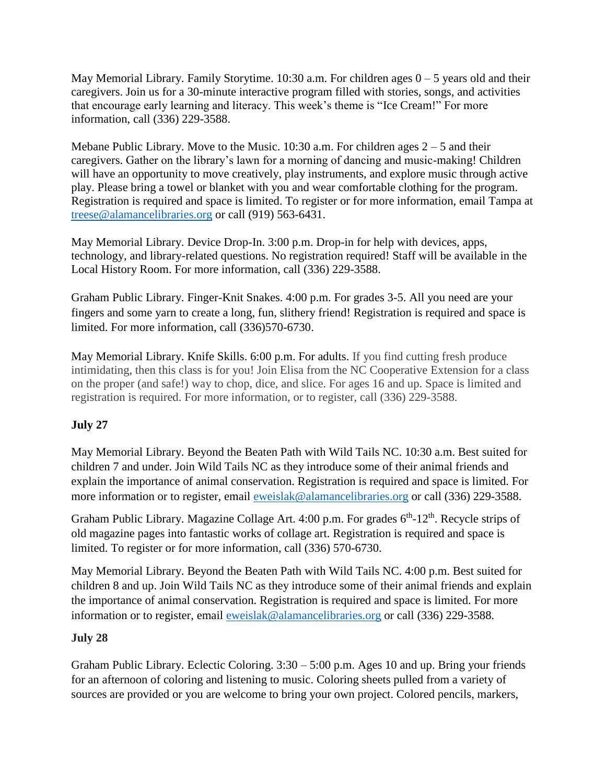May Memorial Library. Family Storytime.  $10:30$  a.m. For children ages  $0 - 5$  years old and their caregivers. Join us for a 30-minute interactive program filled with stories, songs, and activities that encourage early learning and literacy. This week's theme is "Ice Cream!" For more information, call (336) 229-3588.

Mebane Public Library. Move to the Music. 10:30 a.m. For children ages  $2 - 5$  and their caregivers. Gather on the library's lawn for a morning of dancing and music-making! Children will have an opportunity to move creatively, play instruments, and explore music through active play. Please bring a towel or blanket with you and wear comfortable clothing for the program. Registration is required and space is limited. To register or for more information, email Tampa at [treese@alamancelibraries.org](mailto:treese@alamancelibraries.org) or call (919) 563-6431.

May Memorial Library. Device Drop-In. 3:00 p.m. Drop-in for help with devices, apps, technology, and library-related questions. No registration required! Staff will be available in the Local History Room. For more information, call (336) 229-3588.

Graham Public Library. Finger-Knit Snakes. 4:00 p.m. For grades 3-5. All you need are your fingers and some yarn to create a long, fun, slithery friend! Registration is required and space is limited. For more information, call (336)570-6730.

May Memorial Library. Knife Skills. 6:00 p.m. For adults. If you find cutting fresh produce intimidating, then this class is for you! Join Elisa from the NC Cooperative Extension for a class on the proper (and safe!) way to chop, dice, and slice. For ages 16 and up. Space is limited and registration is required. For more information, or to register, call (336) 229-3588.

## **July 27**

May Memorial Library. Beyond the Beaten Path with Wild Tails NC. 10:30 a.m. Best suited for children 7 and under. Join Wild Tails NC as they introduce some of their animal friends and explain the importance of animal conservation. Registration is required and space is limited. For more information or to register, email [eweislak@alamancelibraries.org](mailto:eweislak@alamancelibraries.org) or call (336) 229-3588.

Graham Public Library. Magazine Collage Art. 4:00 p.m. For grades 6<sup>th</sup>-12<sup>th</sup>. Recycle strips of old magazine pages into fantastic works of collage art. Registration is required and space is limited. To register or for more information, call (336) 570-6730.

May Memorial Library. Beyond the Beaten Path with Wild Tails NC. 4:00 p.m. Best suited for children 8 and up. Join Wild Tails NC as they introduce some of their animal friends and explain the importance of animal conservation. Registration is required and space is limited. For more information or to register, email [eweislak@alamancelibraries.org](mailto:eweislak@alamancelibraries.org) or call (336) 229-3588.

## **July 28**

Graham Public Library. Eclectic Coloring. 3:30 – 5:00 p.m. Ages 10 and up. Bring your friends for an afternoon of coloring and listening to music. Coloring sheets pulled from a variety of sources are provided or you are welcome to bring your own project. Colored pencils, markers,